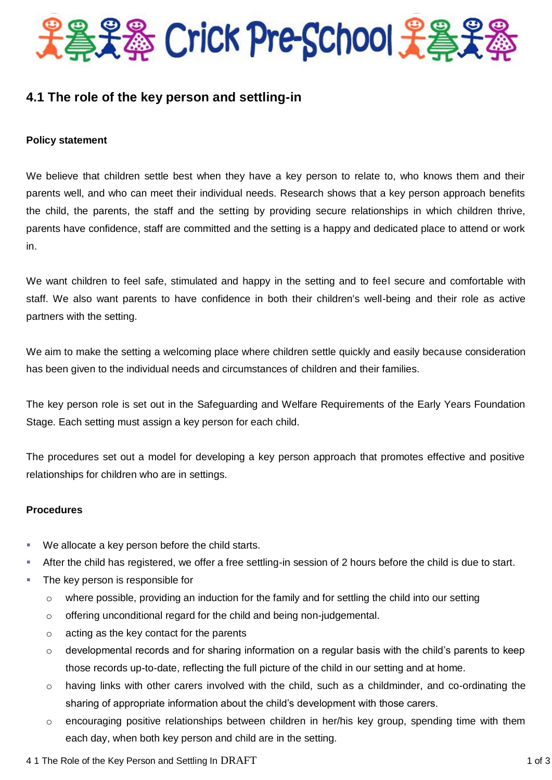

# **4.1 The role of the key person and settling-in**

# **Policy statement**

We believe that children settle best when they have a key person to relate to, who knows them and their parents well, and who can meet their individual needs. Research shows that a key person approach benefits the child, the parents, the staff and the setting by providing secure relationships in which children thrive, parents have confidence, staff are committed and the setting is a happy and dedicated place to attend or work in.

We want children to feel safe, stimulated and happy in the setting and to feel secure and comfortable with staff. We also want parents to have confidence in both their children's well-being and their role as active partners with the setting.

We aim to make the setting a welcoming place where children settle quickly and easily because consideration has been given to the individual needs and circumstances of children and their families.

The key person role is set out in the Safeguarding and Welfare Requirements of the Early Years Foundation Stage. Each setting must assign a key person for each child.

The procedures set out a model for developing a key person approach that promotes effective and positive relationships for children who are in settings.

# **Procedures**

- We allocate a key person before the child starts.
- After the child has registered, we offer a free settling-in session of 2 hours before the child is due to start.
- The key person is responsible for
	- $\circ$  where possible, providing an induction for the family and for settling the child into our setting
	- $\circ$  offering unconditional regard for the child and being non-judgemental.
	- o acting as the key contact for the parents
	- o developmental records and for sharing information on a regular basis with the child's parents to keep those records up-to-date, reflecting the full picture of the child in our setting and at home.
	- $\circ$  having links with other carers involved with the child, such as a childminder, and co-ordinating the sharing of appropriate information about the child's development with those carers.
	- $\circ$  encouraging positive relationships between children in her/his key group, spending time with them each day, when both key person and child are in the setting.
- 4 1 The Role of the Key Person and Settling In DRAFT 1 0 1 0 1 3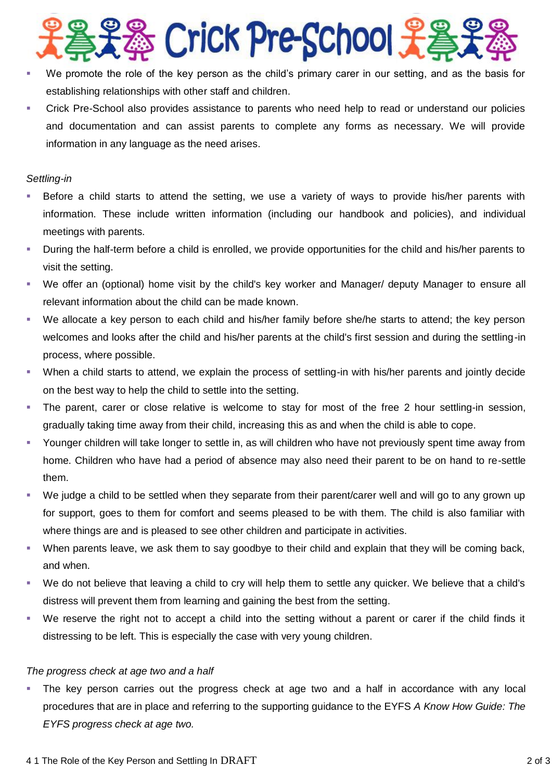

- We promote the role of the key person as the child's primary carer in our setting, and as the basis for establishing relationships with other staff and children.
- Crick Pre-School also provides assistance to parents who need help to read or understand our policies and documentation and can assist parents to complete any forms as necessary. We will provide information in any language as the need arises.

#### *Settling-in*

- Before a child starts to attend the setting, we use a variety of ways to provide his/her parents with information. These include written information (including our handbook and policies), and individual meetings with parents.
- During the half-term before a child is enrolled, we provide opportunities for the child and his/her parents to visit the setting.
- We offer an (optional) home visit by the child's key worker and Manager/ deputy Manager to ensure all relevant information about the child can be made known.
- We allocate a key person to each child and his/her family before she/he starts to attend; the key person welcomes and looks after the child and his/her parents at the child's first session and during the settling-in process, where possible.
- When a child starts to attend, we explain the process of settling-in with his/her parents and jointly decide on the best way to help the child to settle into the setting.
- The parent, carer or close relative is welcome to stay for most of the free 2 hour settling-in session, gradually taking time away from their child, increasing this as and when the child is able to cope.
- Younger children will take longer to settle in, as will children who have not previously spent time away from home. Children who have had a period of absence may also need their parent to be on hand to re-settle them.
- We judge a child to be settled when they separate from their parent/carer well and will go to any grown up for support, goes to them for comfort and seems pleased to be with them. The child is also familiar with where things are and is pleased to see other children and participate in activities.
- When parents leave, we ask them to say goodbye to their child and explain that they will be coming back, and when.
- We do not believe that leaving a child to cry will help them to settle any quicker. We believe that a child's distress will prevent them from learning and gaining the best from the setting.
- We reserve the right not to accept a child into the setting without a parent or carer if the child finds it distressing to be left. This is especially the case with very young children.

# *The progress check at age two and a half*

 The key person carries out the progress check at age two and a half in accordance with any local procedures that are in place and referring to the supporting guidance to the EYFS *A Know How Guide: The EYFS progress check at age two.*